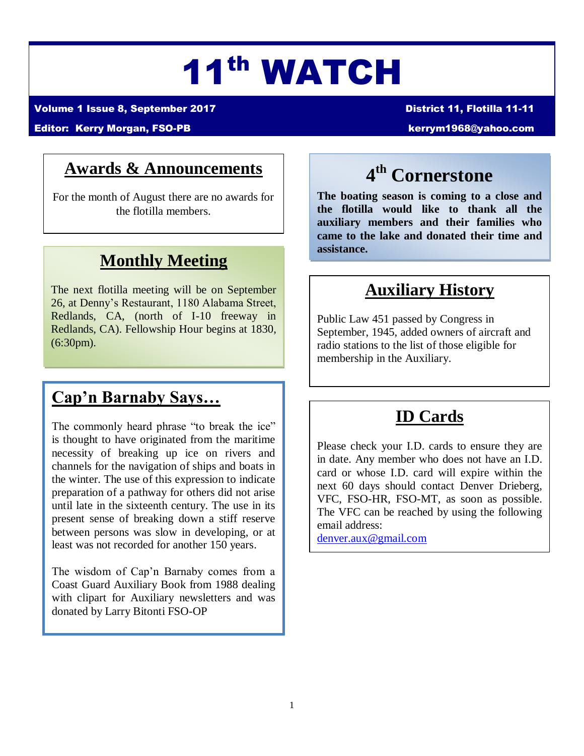# 11th WATCH

Volume 1 Issue 8, September 2017 District 11, Flotilla 11-11

#### Editor: Kerry Morgan, FSO-PB [kerrym1968@yahoo.com](mailto:kerrym1968@yahoo.com)

## **Awards & Announcements**

For the month of August there are no awards for the flotilla members.

## **Monthly Meeting**

The next flotilla meeting will be on September 26, at Denny's Restaurant, 1180 Alabama Street, Redlands, CA, (north of I-10 freeway in Redlands, CA). Fellowship Hour begins at 1830, (6:30pm).

## **Cap'n Barnaby Says…**

The commonly heard phrase "to break the ice" is thought to have originated from the maritime necessity of breaking up ice on rivers and channels for the navigation of ships and boats in the winter. The use of this expression to indicate preparation of a pathway for others did not arise until late in the sixteenth century. The use in its present sense of breaking down a stiff reserve between persons was slow in developing, or at least was not recorded for another 150 years.

The wisdom of Cap'n Barnaby comes from a Coast Guard Auxiliary Book from 1988 dealing with clipart for Auxiliary newsletters and was donated by Larry Bitonti FSO-OP

## **4 th Cornerstone**

**The boating season is coming to a close and the flotilla would like to thank all the auxiliary members and their families who came to the lake and donated their time and assistance.**

## **Auxiliary History**

Public Law 451 passed by Congress in September, 1945, added owners of aircraft and radio stations to the list of those eligible for membership in the Auxiliary.

## **ID Cards**

Please check your I.D. cards to ensure they are in date. Any member who does not have an I.D. card or whose I.D. card will expire within the next 60 days should contact Denver Drieberg, VFC, FSO-HR, FSO-MT, as soon as possible. The VFC can be reached by using the following email address:

[denver.aux@gmail.com](mailto:denver.aux@gmail.com)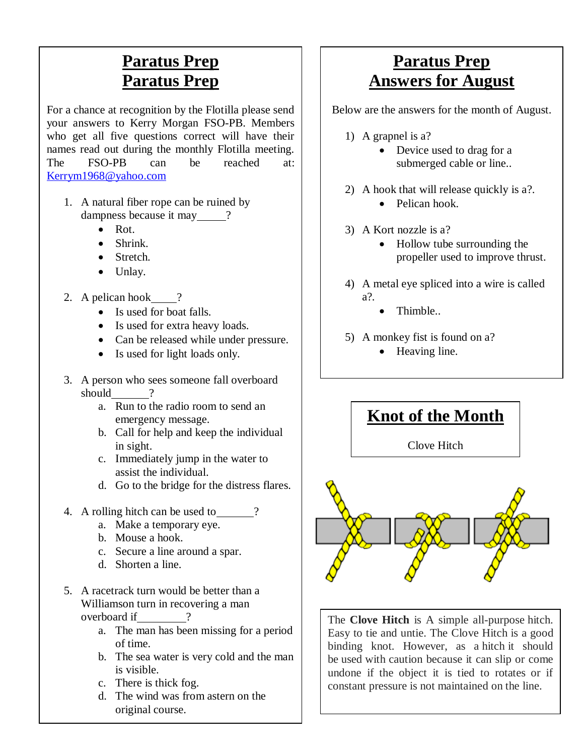## **Paratus Prep Paratus Prep**

For a chance at recognition by the Flotilla please send your answers to Kerry Morgan FSO-PB. Members who get all five questions correct will have their names read out during the monthly Flotilla meeting. The FSO-PB can be reached at: [Kerrym1968@yahoo.com](mailto:Kerrym1968@yahoo.com)

- 1. A natural fiber rope can be ruined by dampness because it may 2
	- Rot.
	- Shrink.
	- Stretch.
	- Unlay.
- 2. A pelican hook  $\qquad$  ?
	- Is used for boat falls.
	- Is used for extra heavy loads.
	- Can be released while under pressure.
	- Is used for light loads only.
- 3. A person who sees someone fall overboard should ?
	- a. Run to the radio room to send an emergency message.
	- b. Call for help and keep the individual in sight.
	- c. Immediately jump in the water to assist the individual.
	- d. Go to the bridge for the distress flares.
- 4. A rolling hitch can be used to \_\_\_\_\_\_?
	- a. Make a temporary eye.
	- b. Mouse a hook.
	- c. Secure a line around a spar.
	- d. Shorten a line.
- 5. A racetrack turn would be better than a Williamson turn in recovering a man overboard if  $\qquad$  ?
	- a. The man has been missing for a period of time.
	- b. The sea water is very cold and the man is visible.
	- c. There is thick fog.
	- d. The wind was from astern on the original course.

## **Paratus Prep Answers for August**

Below are the answers for the month of August.

- 1) A grapnel is a?
	- Device used to drag for a submerged cable or line..
- 2) A hook that will release quickly is a?.
	- Pelican hook.
- 3) A Kort nozzle is a?
	- Hollow tube surrounding the propeller used to improve thrust.
- 4) A metal eye spliced into a wire is called a?.
	- Thimble..
- 5) A monkey fist is found on a?
	- Heaving line.

## **Knot of the Month**

Clove Hitch



The **Clove Hitch** is A simple all-purpose hitch. Easy to tie and untie. The Clove Hitch is a good binding knot. However, as a hitch it should be used with caution because it can slip or come undone if the object it is tied to rotates or if constant pressure is not maintained on the line.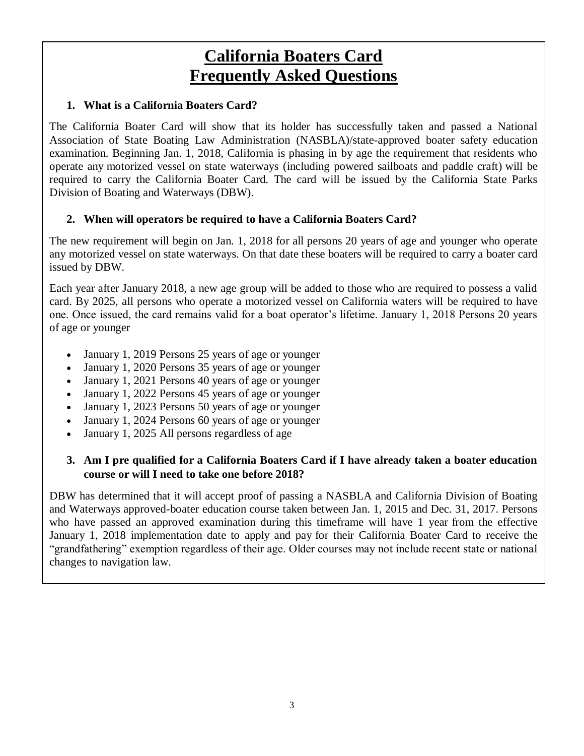## **California Boaters Card Frequently Asked Questions**

#### **1. What is a California Boaters Card?**

The California Boater Card will show that its holder has successfully taken and passed a National Association of State Boating Law Administration (NASBLA)/state-approved boater safety education examination. Beginning Jan. 1, 2018, California is phasing in by age the requirement that residents who operate any motorized vessel on state waterways (including powered sailboats and paddle craft) will be required to carry the California Boater Card. The card will be issued by the California State Parks Division of Boating and Waterways (DBW).

#### **2. When will operators be required to have a California Boaters Card?**

The new requirement will begin on Jan. 1, 2018 for all persons 20 years of age and younger who operate any motorized vessel on state waterways. On that date these boaters will be required to carry a boater card issued by DBW.

Each year after January 2018, a new age group will be added to those who are required to possess a valid card. By 2025, all persons who operate a motorized vessel on California waters will be required to have one. Once issued, the card remains valid for a boat operator's lifetime. January 1, 2018 Persons 20 years of age or younger

- January 1, 2019 Persons 25 years of age or younger
- January 1, 2020 Persons 35 years of age or younger
- January 1, 2021 Persons 40 years of age or younger
- January 1, 2022 Persons 45 years of age or younger
- January 1, 2023 Persons 50 years of age or younger
- January 1, 2024 Persons 60 years of age or younger
- January 1, 2025 All persons regardless of age

#### **3. Am I pre qualified for a California Boaters Card if I have already taken a boater education course or will I need to take one before 2018?**

DBW has determined that it will accept proof of passing a NASBLA and California Division of Boating and Waterways approved-boater education course taken between Jan. 1, 2015 and Dec. 31, 2017. Persons who have passed an approved examination during this timeframe will have 1 year from the effective January 1, 2018 implementation date to apply and pay for their California Boater Card to receive the "grandfathering" exemption regardless of their age. Older courses may not include recent state or national changes to navigation law.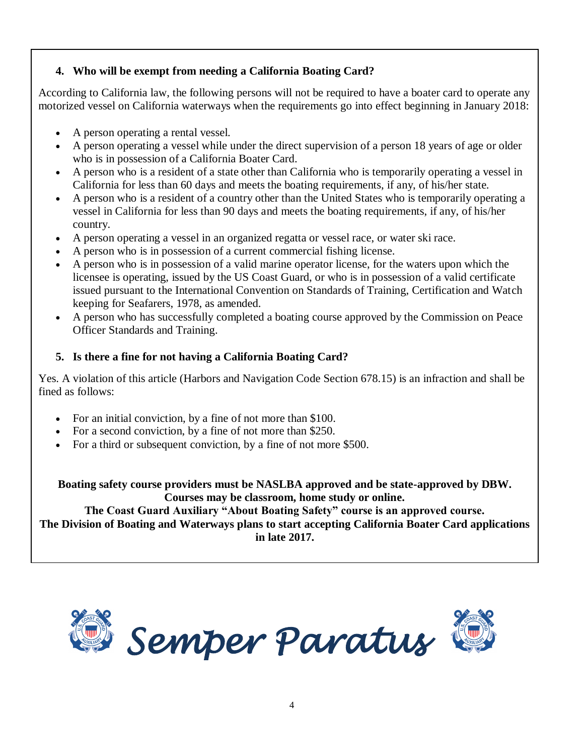#### **4. Who will be exempt from needing a California Boating Card?**

According to California law, the following persons will not be required to have a boater card to operate any motorized vessel on California waterways when the requirements go into effect beginning in January 2018:

- A person operating a rental vessel.
- A person operating a vessel while under the direct supervision of a person 18 years of age or older who is in possession of a California Boater Card.
- A person who is a resident of a state other than California who is temporarily operating a vessel in California for less than 60 days and meets the boating requirements, if any, of his/her state.
- A person who is a resident of a country other than the United States who is temporarily operating a vessel in California for less than 90 days and meets the boating requirements, if any, of his/her country.
- A person operating a vessel in an organized regatta or vessel race, or water ski race.
- A person who is in possession of a current commercial fishing license.
- A person who is in possession of a valid marine operator license, for the waters upon which the licensee is operating, issued by the US Coast Guard, or who is in possession of a valid certificate issued pursuant to the International Convention on Standards of Training, Certification and Watch keeping for Seafarers, 1978, as amended.
- A person who has successfully completed a boating course approved by the Commission on Peace Officer Standards and Training.

#### **5. Is there a fine for not having a California Boating Card?**

Yes. A violation of this article (Harbors and Navigation Code Section 678.15) is an infraction and shall be fined as follows:

- For an initial conviction, by a fine of not more than \$100.
- For a second conviction, by a fine of not more than \$250.
- For a third or subsequent conviction, by a fine of not more \$500.

**Boating safety course providers must be NASLBA approved and be state-approved by DBW. Courses may be classroom, home study or online.** 

**The Coast Guard Auxiliary "About Boating Safety" course is an approved course. The Division of Boating and Waterways plans to start accepting California Boater Card applications in late 2017.**